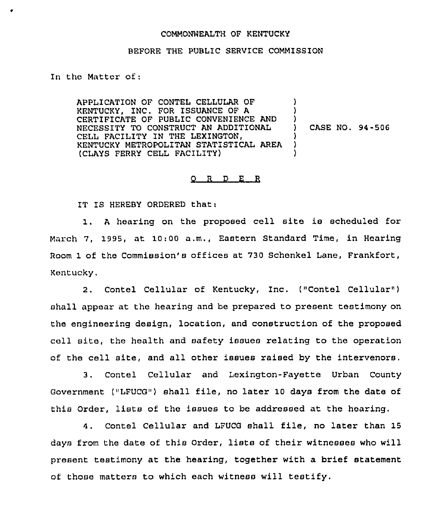## COMMONNEALTH OF KENTUCKY

## BEFORE THE PUBLIC SERVICE COMMISSION

In the Matter of;

APPLICATION OF CONTEL CELLULAR OF KENTUCKY, INC. FOR ISSUANCE OF A CERTIFICATE OF PUBLIC CONVENIENCE AND NECESSITY TO CONSTRUCT AN ADDITIONAL CELL FACILITY IN THE LEXINGTON, KENTUCKY METROPOLITAN STATISTICAL AREA (CLAYS FERRY CELL FACILITY) ) )  $\big)$ ) CASE NO. 94-505 ) ) )

## $ORD$   $E$   $R$

IT IS HEREBY ORDERED that:

1. <sup>A</sup> hearing on the proposed cell site is scheduled for March 7, 1995, at 10:00 a.m., Eastern Standard Time, in Hearing Room 1 of the Commission's offices at 730 Schenkel Lane, Frankfort, Kentucky.

2. Contel Cellular of Kentucky, Inc. ("Contel Cellular" ) shall appear at the hearing and be prepared to present testimony on the engineering design, location, and construction of the proposed cell site, the health and safety issues relating to the operation of the cell site, and all other issues raised by the intervenors.

3. Contel Cellular and Lexington-Fayette Urban County Government ("LFUCG") shall file, no later 10 days from the date of this Order, lists of the issues to be addressed at the hearing.

4. Contel Cellular and LFUCG shall file, no later than 15 days from the date of this Order, lists of their witnesses who will present testimony at the hearing, together with a brief statement of those matters to which each witness will testify.